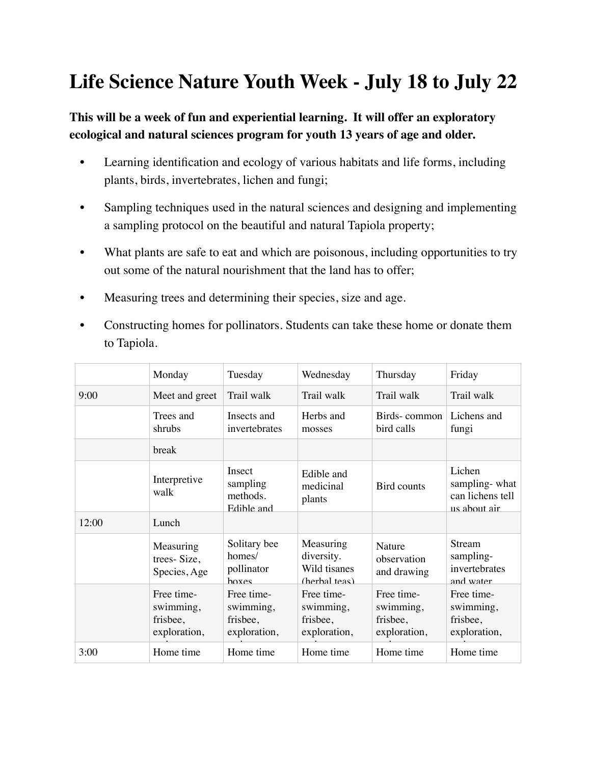## **Life Science Nature Youth Week - July 18 to July 22**

## **This will be a week of fun and experiential learning. It will offer an exploratory ecological and natural sciences program for youth 13 years of age and older.**

- Learning identification and ecology of various habitats and life forms, including plants, birds, invertebrates, lichen and fungi;
- Sampling techniques used in the natural sciences and designing and implementing a sampling protocol on the beautiful and natural Tapiola property;
- What plants are safe to eat and which are poisonous, including opportunities to try out some of the natural nourishment that the land has to offer;
- Measuring trees and determining their species, size and age.
- Constructing homes for pollinators. Students can take these home or donate them to Tapiola.

|       | Monday                                              | Tuesday                                             | Wednesday                                                | Thursday                                            | Friday                                                      |
|-------|-----------------------------------------------------|-----------------------------------------------------|----------------------------------------------------------|-----------------------------------------------------|-------------------------------------------------------------|
| 9:00  | Meet and greet                                      | Trail walk                                          | Trail walk                                               | Trail walk                                          | Trail walk                                                  |
|       | Trees and<br>shrubs                                 | Insects and<br>invertebrates                        | Herbs and<br>mosses                                      | Birds-common<br>bird calls                          | Lichens and<br>fungi                                        |
|       | break                                               |                                                     |                                                          |                                                     |                                                             |
|       | Interpretive<br>walk                                | Insect<br>sampling<br>methods.<br>Edible and        | Edible and<br>medicinal<br>plants                        | Bird counts                                         | Lichen<br>sampling-what<br>can lichens tell<br>us about air |
| 12:00 | Lunch                                               |                                                     |                                                          |                                                     |                                                             |
|       | Measuring<br>trees-Size,<br>Species, Age            | Solitary bee<br>homes/<br>pollinator<br>hoxes       | Measuring<br>diversity.<br>Wild tisanes<br>(herbal teas) | Nature<br>observation<br>and drawing                | Stream<br>sampling-<br>invertebrates<br>and water           |
|       | Free time-<br>swimming,<br>frisbee,<br>exploration, | Free time-<br>swimming,<br>frisbee,<br>exploration, | Free time-<br>swimming,<br>frisbee,<br>exploration,      | Free time-<br>swimming,<br>frisbee,<br>exploration, | Free time-<br>swimming,<br>frisbee,<br>exploration,         |
| 3:00  | Home time                                           | Home time                                           | Home time                                                | Home time                                           | Home time                                                   |